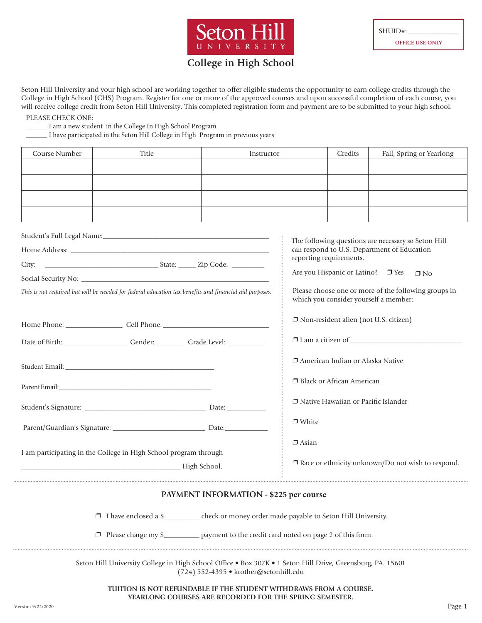

## **College in High School**

Seton Hill University and your high school are working together to offer eligible students the opportunity to earn college credits through the College in High School (CHS) Program. Register for one or more of the approved courses and upon successful completion of each course, you will receive college credit from Seton Hill University. This completed registration form and payment are to be submitted to your high school.

PLEASE CHECK ONE:

\_\_\_\_\_\_ I am a new student in the College In High School Program

\_\_\_\_\_\_ I have participated in the Seton Hill College in High Program in previous years

| Course Number | Title | Instructor | Credits | Fall, Spring or Yearlong |
|---------------|-------|------------|---------|--------------------------|
|               |       |            |         |                          |
|               |       |            |         |                          |
|               |       |            |         |                          |
|               |       |            |         |                          |

|                                                                                                        | The following questions are necessary so Seton Hill                                           |  |  |  |
|--------------------------------------------------------------------------------------------------------|-----------------------------------------------------------------------------------------------|--|--|--|
|                                                                                                        | can respond to U.S. Department of Education<br>reporting requirements.                        |  |  |  |
|                                                                                                        |                                                                                               |  |  |  |
|                                                                                                        | Are you Hispanic or Latino? □ Yes<br>$\n  7 No$                                               |  |  |  |
| This is not required but will be needed for federal education tax benefits and financial aid purposes. | Please choose one or more of the following groups in<br>which you consider yourself a member: |  |  |  |
|                                                                                                        | □ Non-resident alien (not U.S. citizen)                                                       |  |  |  |
| Date of Birth: Channel Cender: Canade Level:                                                           |                                                                                               |  |  |  |
|                                                                                                        | □ American Indian or Alaska Native                                                            |  |  |  |
|                                                                                                        | □ Black or African American                                                                   |  |  |  |
|                                                                                                        | □ Native Hawaiian or Pacific Islander                                                         |  |  |  |
|                                                                                                        | $\Box$ White                                                                                  |  |  |  |
| I am participating in the College in High School program through                                       | $\Box$ Asian<br>$\Box$ Race or ethnicity unknown/Do not wish to respond.                      |  |  |  |
|                                                                                                        |                                                                                               |  |  |  |

## **PAYMENT INFORMATION - \$225 per course**

p I have enclosed a \$\_\_\_\_\_\_\_\_\_\_ check or money order made payable to Seton Hill University.

 $\Box$  Please charge my \$\_\_\_\_\_\_\_\_\_\_ payment to the credit card noted on page 2 of this form.

Seton Hill University College in High School Office • Box 307K • 1 Seton Hill Drive, Greensburg, PA. 15601 (724) 552-4395 • krother@setonhill.edu

**TUITION IS NOT REFUNDABLE IF THE STUDENT WITHDRAWS FROM A COURSE. YEARLONG COURSES ARE RECORDED FOR THE SPRING SEMESTER.**